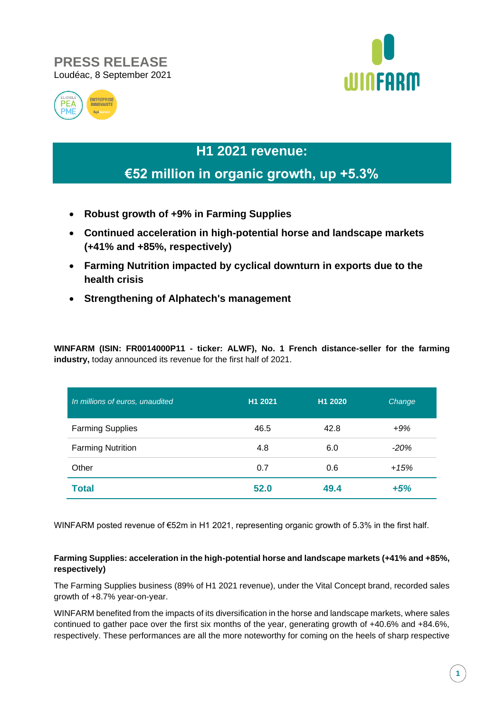### **PRESS RELEASE** Loudéac, 8 September 2021





# **H1 2021 revenue:**

## **€52 million in organic growth, up +5.3%**

- **Robust growth of +9% in Farming Supplies**
- **Continued acceleration in high-potential horse and landscape markets (+41% and +85%, respectively)**
- **Farming Nutrition impacted by cyclical downturn in exports due to the health crisis**
- **Strengthening of Alphatech's management**

**WINFARM (ISIN: FR0014000P11 - ticker: ALWF), No. 1 French distance-seller for the farming industry,** today announced its revenue for the first half of 2021.

| In millions of euros, unaudited | H1 2021 | H <sub>1</sub> 2020 | Change |
|---------------------------------|---------|---------------------|--------|
| <b>Farming Supplies</b>         | 46.5    | 42.8                | $+9%$  |
| <b>Farming Nutrition</b>        | 4.8     | 6.0                 | $-20%$ |
| Other                           | 0.7     | 0.6                 | $+15%$ |
| <b>Total</b>                    | 52.0    | 49.4                | $+5%$  |

WINFARM posted revenue of €52m in H1 2021, representing organic growth of 5.3% in the first half.

#### **Farming Supplies: acceleration in the high-potential horse and landscape markets (+41% and +85%, respectively)**

The Farming Supplies business (89% of H1 2021 revenue), under the Vital Concept brand, recorded sales growth of +8.7% year-on-year.

WINFARM benefited from the impacts of its diversification in the horse and landscape markets, where sales continued to gather pace over the first six months of the year, generating growth of +40.6% and +84.6%, respectively. These performances are all the more noteworthy for coming on the heels of sharp respective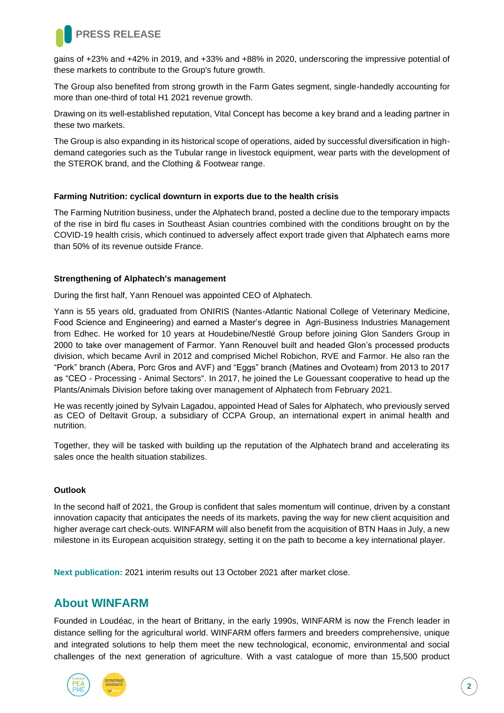

gains of +23% and +42% in 2019, and +33% and +88% in 2020, underscoring the impressive potential of these markets to contribute to the Group's future growth.

The Group also benefited from strong growth in the Farm Gates segment, single-handedly accounting for more than one-third of total H1 2021 revenue growth.

Drawing on its well-established reputation, Vital Concept has become a key brand and a leading partner in these two markets.

The Group is also expanding in its historical scope of operations, aided by successful diversification in highdemand categories such as the Tubular range in livestock equipment, wear parts with the development of the STEROK brand, and the Clothing & Footwear range.

#### **Farming Nutrition: cyclical downturn in exports due to the health crisis**

The Farming Nutrition business, under the Alphatech brand, posted a decline due to the temporary impacts of the rise in bird flu cases in Southeast Asian countries combined with the conditions brought on by the COVID-19 health crisis, which continued to adversely affect export trade given that Alphatech earns more than 50% of its revenue outside France.

#### **Strengthening of Alphatech's management**

During the first half, Yann Renouel was appointed CEO of Alphatech.

Yann is 55 years old, graduated from ONIRIS (Nantes-Atlantic National College of Veterinary Medicine, Food Science and Engineering) and earned a Master's degree in Agri-Business Industries Management from Edhec. He worked for 10 years at Houdebine/Nestlé Group before joining Glon Sanders Group in 2000 to take over management of Farmor. Yann Renouvel built and headed Glon's processed products division, which became Avril in 2012 and comprised Michel Robichon, RVE and Farmor. He also ran the "Pork" branch (Abera, Porc Gros and AVF) and "Eggs" branch (Matines and Ovoteam) from 2013 to 2017 as "CEO - Processing - Animal Sectors". In 2017, he joined the Le Gouessant cooperative to head up the Plants/Animals Division before taking over management of Alphatech from February 2021.

He was recently joined by Sylvain Lagadou, appointed Head of Sales for Alphatech, who previously served as CEO of Deltavit Group, a subsidiary of CCPA Group, an international expert in animal health and nutrition.

Together, they will be tasked with building up the reputation of the Alphatech brand and accelerating its sales once the health situation stabilizes.

#### **Outlook**

In the second half of 2021, the Group is confident that sales momentum will continue, driven by a constant innovation capacity that anticipates the needs of its markets, paving the way for new client acquisition and higher average cart check-outs. WINFARM will also benefit from the acquisition of BTN Haas in July, a new milestone in its European acquisition strategy, setting it on the path to become a key international player.

**Next publication:** 2021 interim results out 13 October 2021 after market close.

### **About WINFARM**

Founded in Loudéac, in the heart of Brittany, in the early 1990s, WINFARM is now the French leader in distance selling for the agricultural world. WINFARM offers farmers and breeders comprehensive, unique and integrated solutions to help them meet the new technological, economic, environmental and social challenges of the next generation of agriculture. With a vast catalogue of more than 15,500 product